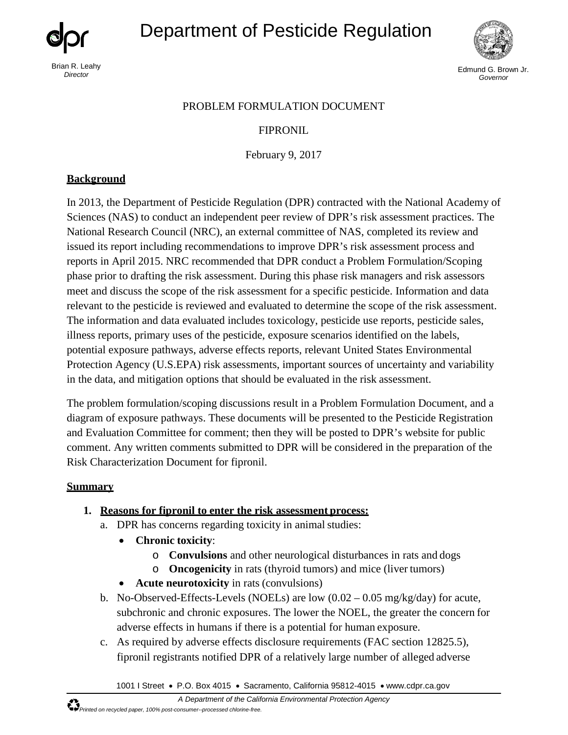Brian R. Leahy

# Department of Pesticide Regulation



**Director** Edmund G. Brown Jr. (1999) and the set of the set of the set of the set of the set of the set of the set of the set of the set of the set of the set of the set of the set of the set of the set of the set of the *Governor*

#### PROBLEM FORMULATION DOCUMENT

## FIPRONIL

February 9, 2017

## **Background**

In 2013, the Department of Pesticide Regulation (DPR) contracted with the National Academy of Sciences (NAS) to conduct an independent peer review of DPR's risk assessment practices. The National Research Council (NRC), an external committee of NAS, completed its review and issued its report including recommendations to improve DPR's risk assessment process and reports in April 2015. NRC recommended that DPR conduct a Problem Formulation/Scoping phase prior to drafting the risk assessment. During this phase risk managers and risk assessors meet and discuss the scope of the risk assessment for a specific pesticide. Information and data relevant to the pesticide is reviewed and evaluated to determine the scope of the risk assessment. The information and data evaluated includes toxicology, pesticide use reports, pesticide sales, illness reports, primary uses of the pesticide, exposure scenarios identified on the labels, potential exposure pathways, adverse effects reports, relevant United States Environmental Protection Agency (U.S.EPA) risk assessments, important sources of uncertainty and variability in the data, and mitigation options that should be evaluated in the risk assessment.

The problem formulation/scoping discussions result in a Problem Formulation Document, and a diagram of exposure pathways. These documents will be presented to the Pesticide Registration and Evaluation Committee for comment; then they will be posted to DPR's website for public comment. Any written comments submitted to DPR will be considered in the preparation of the Risk Characterization Document for fipronil.

## **Summary**

- **1. Reasons for fipronil to enter the risk assessment process:**
	- a. DPR has concerns regarding toxicity in animal studies:
		- • **Chronic toxicity**:
			- o **Convulsions** and other neurological disturbances in rats and dogs
			- o **Oncogenicity** in rats (thyroid tumors) and mice (liver tumors)
		- **Acute neurotoxicity** in rats (convulsions)
	- b. No-Observed-Effects-Levels (NOELs) are low  $(0.02 0.05 \text{ mg/kg/day})$  for acute, subchronic and chronic exposures. The lower the NOEL, the greater the concern for adverse effects in humans if there is a potential for human exposure.
	- c. As required by adverse effects disclosure requirements (FAC section 12825.5), fipronil registrants notified DPR of a relatively large number of alleged adverse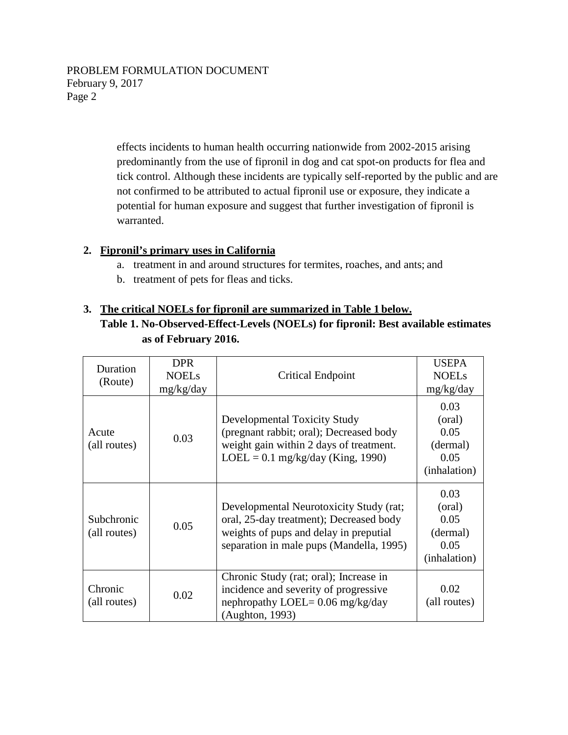effects incidents to human health occurring nationwide from 2002-2015 arising predominantly from the use of fipronil in dog and cat spot-on products for flea and tick control. Although these incidents are typically self-reported by the public and are not confirmed to be attributed to actual fipronil use or exposure, they indicate a potential for human exposure and suggest that further investigation of fipronil is warranted.

## **2. Fipronil's primary uses in California**

- a. treatment in and around structures for termites, roaches, and ants; and
- b. treatment of pets for fleas and ticks.

## **3. The critical NOELs for fipronil are summarized in Table 1 below.**

**Table 1. No-Observed-Effect-Levels (NOELs) for fipronil: Best available estimates as of February 2016.** 

| Duration<br>(Route)        | <b>DPR</b><br><b>NOELs</b><br>mg/kg/day | Critical Endpoint                                                                                                                                                        | <b>USEPA</b><br><b>NOELs</b><br>mg/kg/day                  |
|----------------------------|-----------------------------------------|--------------------------------------------------------------------------------------------------------------------------------------------------------------------------|------------------------------------------------------------|
| Acute<br>(all routes)      | 0.03                                    | Developmental Toxicity Study<br>(pregnant rabbit; oral); Decreased body<br>weight gain within 2 days of treatment.<br>$LOEL = 0.1$ mg/kg/day (King, 1990)                | 0.03<br>(oral)<br>0.05<br>(dermal)<br>0.05<br>(inhalation) |
| Subchronic<br>(all routes) | 0.05                                    | Developmental Neurotoxicity Study (rat;<br>oral, 25-day treatment); Decreased body<br>weights of pups and delay in preputial<br>separation in male pups (Mandella, 1995) | 0.03<br>(oral)<br>0.05<br>(dermal)<br>0.05<br>(inhalation) |
| Chronic<br>(all routes)    | 0.02                                    | Chronic Study (rat; oral); Increase in<br>incidence and severity of progressive<br>nephropathy LOEL= $0.06$ mg/kg/day<br>(Aughton, 1993)                                 | 0.02<br>(all routes)                                       |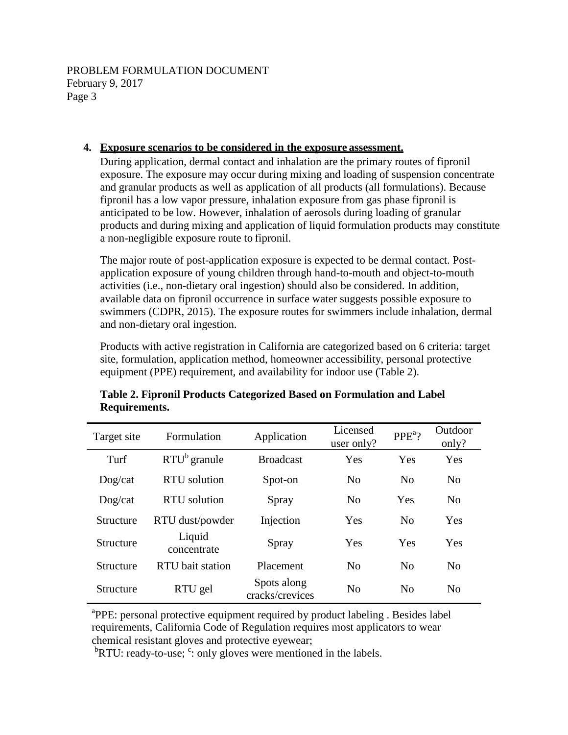## **4. Exposure scenarios to be considered in the exposure assessment.**

 During application, dermal contact and inhalation are the primary routes of fipronil anticipated to be low. However, inhalation of aerosols during loading of granular products and during mixing and application of liquid formulation products may constitute exposure. The exposure may occur during mixing and loading of suspension concentrate and granular products as well as application of all products (all formulations). Because fipronil has a low vapor pressure, inhalation exposure from gas phase fipronil is a non-negligible exposure route to fipronil.

The major route of post-application exposure is expected to be dermal contact. Postapplication exposure of young children through hand-to-mouth and object-to-mouth activities (i.e., non-dietary oral ingestion) should also be considered. In addition, available data on fipronil occurrence in surface water suggests possible exposure to swimmers (CDPR, 2015). The exposure routes for swimmers include inhalation, dermal and non-dietary oral ingestion.

Products with active registration in California are categorized based on 6 criteria: target site, formulation, application method, homeowner accessibility, personal protective equipment (PPE) requirement, and availability for indoor use (Table 2).

| Target site             | Formulation           | Application                    | Licensed<br>user only? | $PPEa$ ?       | Outdoor<br>only? |
|-------------------------|-----------------------|--------------------------------|------------------------|----------------|------------------|
| Turf                    | $RTU^b$ granule       | <b>Broadcast</b>               | Yes                    | <b>Yes</b>     | Yes              |
| $\text{Dog}/\text{cat}$ | RTU solution          | Spot-on                        | N <sub>0</sub>         | $\overline{N}$ | N <sub>0</sub>   |
| $\text{Dog}/\text{cat}$ | RTU solution          | Spray                          | No                     | Yes            | No               |
| Structure               | RTU dust/powder       | Injection                      | Yes                    | N <sub>0</sub> | Yes              |
| <b>Structure</b>        | Liquid<br>concentrate | Spray                          | Yes                    | Yes            | Yes              |
| Structure               | RTU bait station      | Placement                      | N <sub>0</sub>         | N <sub>0</sub> | No               |
| Structure               | RTU gel               | Spots along<br>cracks/crevices | N <sub>0</sub>         | N <sub>0</sub> | N <sub>0</sub>   |

## **Table 2. Fipronil Products Categorized Based on Formulation and Label Requirements.**

<sup>a</sup>PPE: personal protective equipment required by product labeling. Besides label requirements, California Code of Regulation requires most applicators to wear chemical resistant gloves and protective eyewear;

 ${}^{b}$ RTU: ready-to-use;  ${}^{c}$ : only gloves were mentioned in the labels.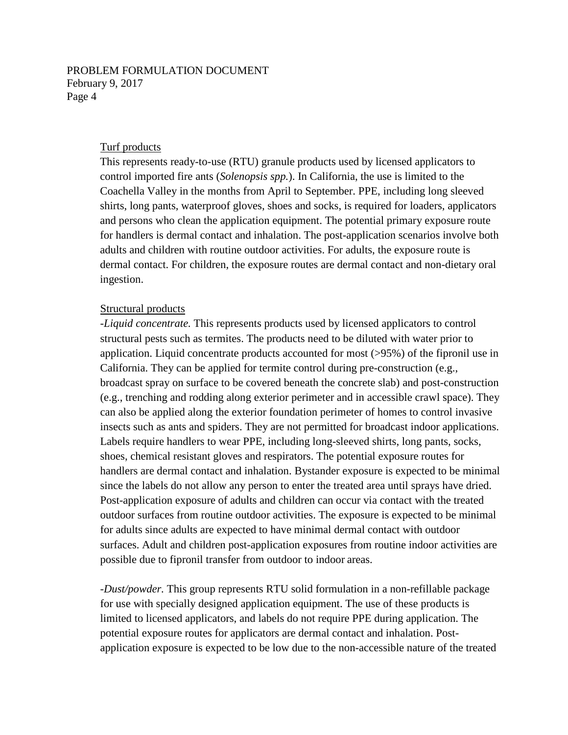#### Turf products

This represents ready-to-use (RTU) granule products used by licensed applicators to control imported fire ants (*Solenopsis spp.*). In California, the use is limited to the Coachella Valley in the months from April to September. PPE, including long sleeved shirts, long pants, waterproof gloves, shoes and socks, is required for loaders, applicators and persons who clean the application equipment. The potential primary exposure route for handlers is dermal contact and inhalation. The post-application scenarios involve both adults and children with routine outdoor activities. For adults, the exposure route is dermal contact. For children, the exposure routes are dermal contact and non-dietary oral ingestion.

#### Structural products

-*Liquid concentrate.* This represents products used by licensed applicators to control structural pests such as termites. The products need to be diluted with water prior to application. Liquid concentrate products accounted for most (>95%) of the fipronil use in California. They can be applied for termite control during pre-construction (e.g., broadcast spray on surface to be covered beneath the concrete slab) and post-construction (e.g., trenching and rodding along exterior perimeter and in accessible crawl space). They can also be applied along the exterior foundation perimeter of homes to control invasive insects such as ants and spiders. They are not permitted for broadcast indoor applications. Labels require handlers to wear PPE, including long-sleeved shirts, long pants, socks, shoes, chemical resistant gloves and respirators. The potential exposure routes for handlers are dermal contact and inhalation. Bystander exposure is expected to be minimal since the labels do not allow any person to enter the treated area until sprays have dried. Post-application exposure of adults and children can occur via contact with the treated outdoor surfaces from routine outdoor activities. The exposure is expected to be minimal for adults since adults are expected to have minimal dermal contact with outdoor surfaces. Adult and children post-application exposures from routine indoor activities are possible due to fipronil transfer from outdoor to indoor areas.

*-Dust/powder.* This group represents RTU solid formulation in a non-refillable package for use with specially designed application equipment. The use of these products is limited to licensed applicators, and labels do not require PPE during application. The potential exposure routes for applicators are dermal contact and inhalation. Postapplication exposure is expected to be low due to the non-accessible nature of the treated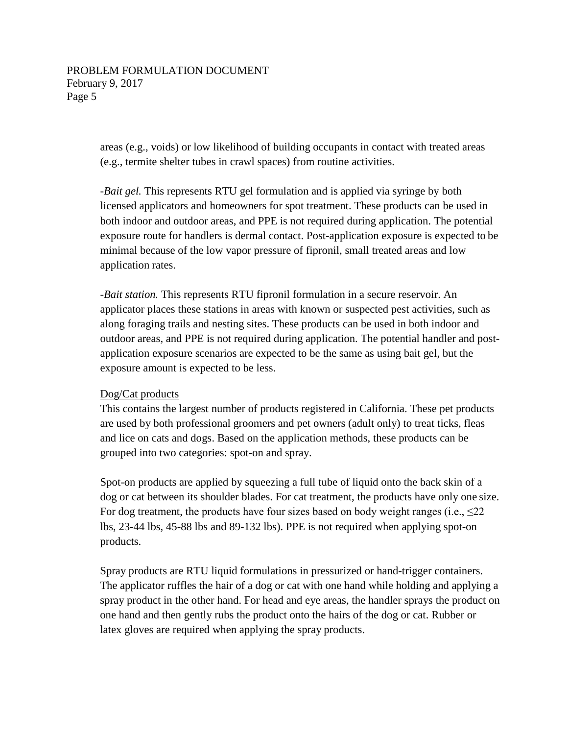areas (e.g., voids) or low likelihood of building occupants in contact with treated areas (e.g., termite shelter tubes in crawl spaces) from routine activities.

*-Bait gel.* This represents RTU gel formulation and is applied via syringe by both licensed applicators and homeowners for spot treatment. These products can be used in both indoor and outdoor areas, and PPE is not required during application. The potential exposure route for handlers is dermal contact. Post-application exposure is expected to be minimal because of the low vapor pressure of fipronil, small treated areas and low application rates.

*-Bait station.* This represents RTU fipronil formulation in a secure reservoir. An applicator places these stations in areas with known or suspected pest activities, such as along foraging trails and nesting sites. These products can be used in both indoor and outdoor areas, and PPE is not required during application. The potential handler and postapplication exposure scenarios are expected to be the same as using bait gel, but the exposure amount is expected to be less.

#### Dog/Cat products

This contains the largest number of products registered in California. These pet products are used by both professional groomers and pet owners (adult only) to treat ticks, fleas and lice on cats and dogs. Based on the application methods, these products can be grouped into two categories: spot-on and spray.

Spot-on products are applied by squeezing a full tube of liquid onto the back skin of a dog or cat between its shoulder blades. For cat treatment, the products have only one size. For dog treatment, the products have four sizes based on body weight ranges (i.e.,  $\leq 22$ ) lbs, 23-44 lbs, 45-88 lbs and 89-132 lbs). PPE is not required when applying spot-on products.

Spray products are RTU liquid formulations in pressurized or hand-trigger containers. The applicator ruffles the hair of a dog or cat with one hand while holding and applying a spray product in the other hand. For head and eye areas, the handler sprays the product on one hand and then gently rubs the product onto the hairs of the dog or cat. Rubber or latex gloves are required when applying the spray products.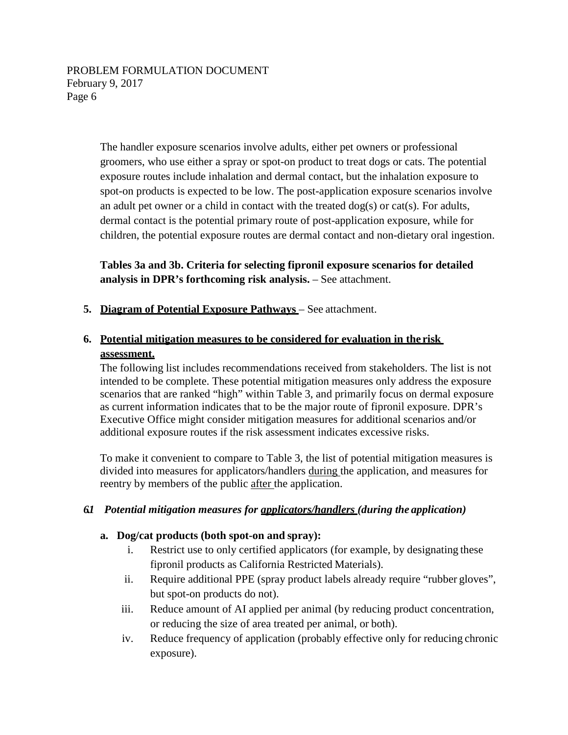The handler exposure scenarios involve adults, either pet owners or professional groomers, who use either a spray or spot-on product to treat dogs or cats. The potential exposure routes include inhalation and dermal contact, but the inhalation exposure to spot-on products is expected to be low. The post-application exposure scenarios involve an adult pet owner or a child in contact with the treated  $\log(s)$  or cat(s). For adults, dermal contact is the potential primary route of post-application exposure, while for children, the potential exposure routes are dermal contact and non-dietary oral ingestion.

**Tables 3a and 3b. Criteria for selecting fipronil exposure scenarios for detailed analysis in DPR's forthcoming risk analysis.** – See attachment.

**5. Diagram of Potential Exposure Pathways** – See attachment.

## **6. Potential mitigation measures to be considered for evaluation in the risk assessment.**

The following list includes recommendations received from stakeholders. The list is not intended to be complete. These potential mitigation measures only address the exposure scenarios that are ranked "high" within Table 3, and primarily focus on dermal exposure as current information indicates that to be the major route of fipronil exposure. DPR's Executive Office might consider mitigation measures for additional scenarios and/or additional exposure routes if the risk assessment indicates excessive risks.

To make it convenient to compare to Table 3, the list of potential mitigation measures is divided into measures for applicators/handlers during the application, and measures for reentry by members of the public after the application.

## *6.1 Potential mitigation measures for applicators/handlers (during the application)*

#### **a. Dog/cat products (both spot-on and spray):**

- i. Restrict use to only certified applicators (for example, by designating these fipronil products as California Restricted Materials).
- ii. Require additional PPE (spray product labels already require "rubber gloves", but spot-on products do not).
- iii. Reduce amount of AI applied per animal (by reducing product concentration, or reducing the size of area treated per animal, or both).
- iv. Reduce frequency of application (probably effective only for reducing chronic exposure).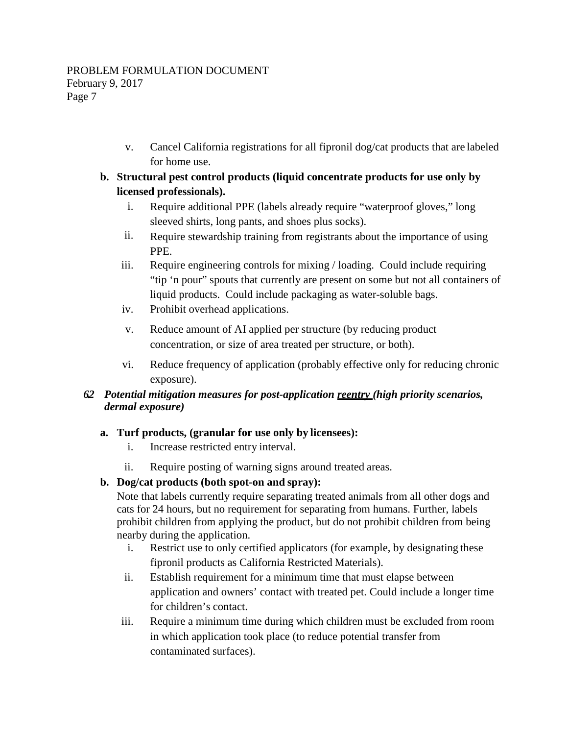v. Cancel California registrations for all fipronil dog/cat products that are labeled for home use.

## **b. Structural pest control products (liquid concentrate products for use only by licensed professionals).**

- i. Require additional PPE (labels already require "waterproof gloves," long sleeved shirts, long pants, and shoes plus socks).
- ii. Require stewardship training from registrants about the importance of using PPE.
- iii. Require engineering controls for mixing / loading. Could include requiring "tip 'n pour" spouts that currently are present on some but not all containers of liquid products. Could include packaging as water-soluble bags.
- iv. Prohibit overhead applications.
- v. Reduce amount of AI applied per structure (by reducing product concentration, or size of area treated per structure, or both).
- vi. Reduce frequency of application (probably effective only for reducing chronic exposure).

## *6.2 Potential mitigation measures for post-application reentry (high priority scenarios, dermal exposure)*

## **a. Turf products, (granular for use only by licensees):**

- i. Increase restricted entry interval.
- ii. Require posting of warning signs around treated areas.

## **b. Dog/cat products (both spot-on and spray):**

 Note that labels currently require separating treated animals from all other dogs and cats for 24 hours, but no requirement for separating from humans. Further, labels prohibit children from applying the product, but do not prohibit children from being nearby during the application.

- i. Restrict use to only certified applicators (for example, by designating these fipronil products as California Restricted Materials).
- ii. Establish requirement for a minimum time that must elapse between application and owners' contact with treated pet. Could include a longer time for children's contact.
- iii. Require a minimum time during which children must be excluded from room in which application took place (to reduce potential transfer from contaminated surfaces).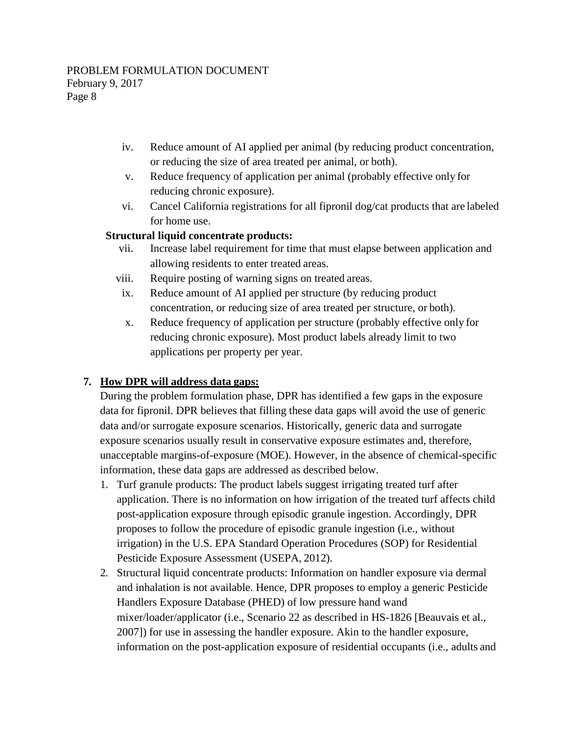- iv. Reduce amount of AI applied per animal (by reducing product concentration, or reducing the size of area treated per animal, or both).
- v. Reduce frequency of application per animal (probably effective only for reducing chronic exposure).
- vi. Cancel California registrations for all fipronil dog/cat products that are labeled for home use.

## **Structural liquid concentrate products:**

- vii. Increase label requirement for time that must elapse between application and allowing residents to enter treated areas.
- viii. Require posting of warning signs on treated areas.
- ix. Reduce amount of AI applied per structure (by reducing product concentration, or reducing size of area treated per structure, or both).
- x. Reduce frequency of application per structure (probably effective only for reducing chronic exposure). Most product labels already limit to two applications per property per year.

## **7. How DPR will address data gaps:**

 data for fipronil. DPR believes that filling these data gaps will avoid the use of generic information, these data gaps are addressed as described below. During the problem formulation phase, DPR has identified a few gaps in the exposure data and/or surrogate exposure scenarios. Historically, generic data and surrogate exposure scenarios usually result in conservative exposure estimates and, therefore, unacceptable margins-of-exposure (MOE). However, in the absence of chemical-specific

- 1. Turf granule products: The product labels suggest irrigating treated turf after application. There is no information on how irrigation of the treated turf affects child post-application exposure through episodic granule ingestion. Accordingly, DPR proposes to follow the procedure of episodic granule ingestion (i.e., without irrigation) in the U.S. EPA Standard Operation Procedures (SOP) for Residential Pesticide Exposure Assessment (USEPA, 2012).
- 2. Structural liquid concentrate products: Information on handler exposure via dermal and inhalation is not available. Hence, DPR proposes to employ a generic Pesticide Handlers Exposure Database (PHED) of low pressure hand wand mixer/loader/applicator (i.e., Scenario 22 as described in HS-1826 [Beauvais et al., 2007]) for use in assessing the handler exposure. Akin to the handler exposure, information on the post-application exposure of residential occupants (i.e., adults and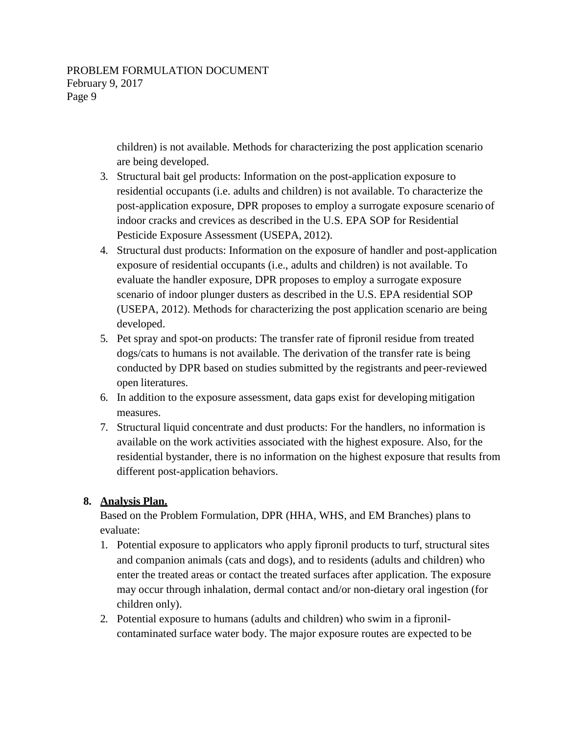children) is not available. Methods for characterizing the post application scenario are being developed.

- 3. Structural bait gel products: Information on the post-application exposure to residential occupants (i.e. adults and children) is not available. To characterize the post-application exposure, DPR proposes to employ a surrogate exposure scenario of indoor cracks and crevices as described in the U.S. EPA SOP for Residential Pesticide Exposure Assessment (USEPA, 2012).
- 4. Structural dust products: Information on the exposure of handler and post-application exposure of residential occupants (i.e., adults and children) is not available. To evaluate the handler exposure, DPR proposes to employ a surrogate exposure scenario of indoor plunger dusters as described in the U.S. EPA residential SOP (USEPA, 2012). Methods for characterizing the post application scenario are being developed.
- 5. Pet spray and spot-on products: The transfer rate of fipronil residue from treated dogs/cats to humans is not available. The derivation of the transfer rate is being conducted by DPR based on studies submitted by the registrants and peer-reviewed open literatures.
- 6. In addition to the exposure assessment, data gaps exist for developing mitigation measures.
- 7. Structural liquid concentrate and dust products: For the handlers, no information is available on the work activities associated with the highest exposure. Also, for the residential bystander, there is no information on the highest exposure that results from different post-application behaviors.

## **8. Analysis Plan.**

Based on the Problem Formulation, DPR (HHA, WHS, and EM Branches) plans to evaluate:

- 1. Potential exposure to applicators who apply fipronil products to turf, structural sites and companion animals (cats and dogs), and to residents (adults and children) who enter the treated areas or contact the treated surfaces after application. The exposure may occur through inhalation, dermal contact and/or non-dietary oral ingestion (for children only).
- 2. Potential exposure to humans (adults and children) who swim in a fipronilcontaminated surface water body. The major exposure routes are expected to be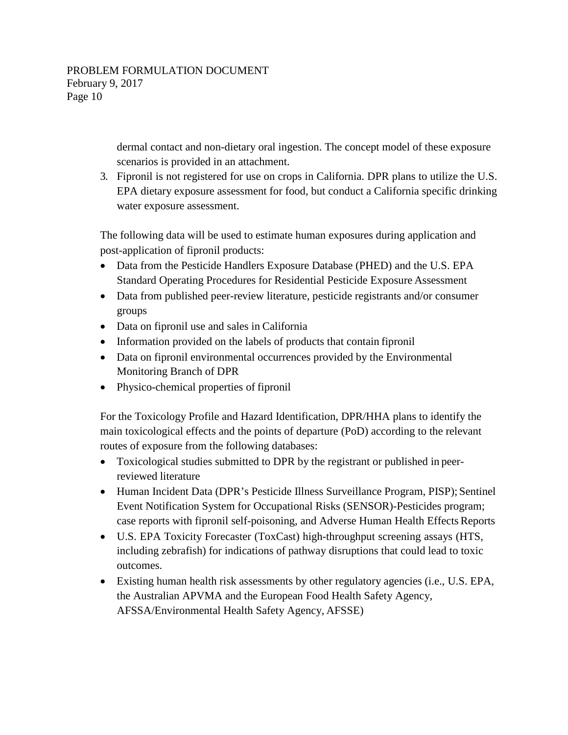dermal contact and non-dietary oral ingestion. The concept model of these exposure scenarios is provided in an attachment.

3. Fipronil is not registered for use on crops in California. DPR plans to utilize the U.S. EPA dietary exposure assessment for food, but conduct a California specific drinking water exposure assessment.

The following data will be used to estimate human exposures during application and post-application of fipronil products:

- Data from the Pesticide Handlers Exposure Database (PHED) and the U.S. EPA Standard Operating Procedures for Residential Pesticide Exposure Assessment
- Data from published peer-review literature, pesticide registrants and/or consumer groups
- Data on fipronil use and sales in California
- Information provided on the labels of products that contain fipronil
- Data on fipronil environmental occurrences provided by the Environmental Monitoring Branch of DPR
- Physico-chemical properties of fipronil

For the Toxicology Profile and Hazard Identification, DPR/HHA plans to identify the main toxicological effects and the points of departure (PoD) according to the relevant routes of exposure from the following databases:

- Toxicological studies submitted to DPR by the registrant or published in peerreviewed literature
- Human Incident Data (DPR's Pesticide Illness Surveillance Program, PISP); Sentinel Event Notification System for Occupational Risks (SENSOR)-Pesticides program; case reports with fipronil self-poisoning, and Adverse Human Health Effects Reports
- U.S. EPA Toxicity Forecaster (ToxCast) high-throughput screening assays (HTS, including zebrafish) for indications of pathway disruptions that could lead to toxic outcomes.
- Existing human health risk assessments by other regulatory agencies (i.e., U.S. EPA, the Australian APVMA and the European Food Health Safety Agency, AFSSA/Environmental Health Safety Agency, AFSSE)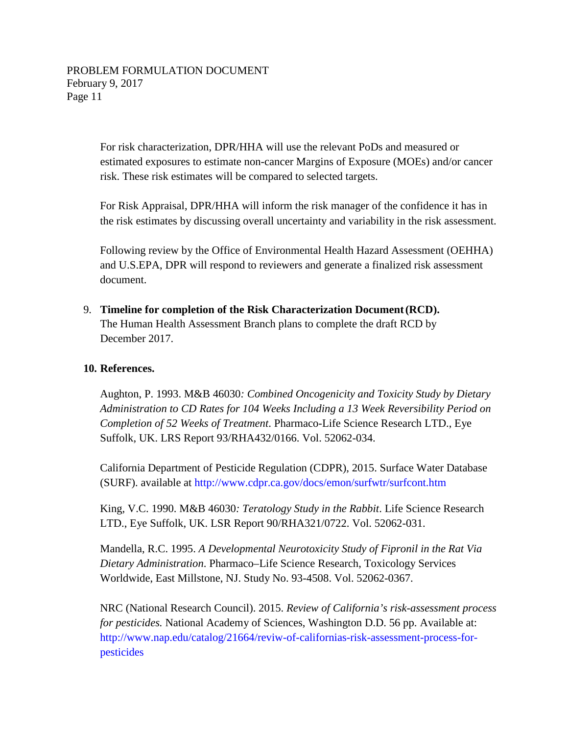For risk characterization, DPR/HHA will use the relevant PoDs and measured or estimated exposures to estimate non-cancer Margins of Exposure (MOEs) and/or cancer risk. These risk estimates will be compared to selected targets.

For Risk Appraisal, DPR/HHA will inform the risk manager of the confidence it has in the risk estimates by discussing overall uncertainty and variability in the risk assessment.

Following review by the Office of Environmental Health Hazard Assessment (OEHHA) and U.S.EPA, DPR will respond to reviewers and generate a finalized risk assessment document.

9. **Timeline for completion of the Risk Characterization Document (RCD).** The Human Health Assessment Branch plans to complete the draft RCD by December 2017.

### **10. References.**

Aughton, P. 1993. M&B 46030*: Combined Oncogenicity and Toxicity Study by Dietary Administration to CD Rates for 104 Weeks Including a 13 Week Reversibility Period on Completion of 52 Weeks of Treatment*. Pharmaco-Life Science Research LTD., Eye Suffolk, UK. LRS Report 93/RHA432/0166. Vol. 52062-034.

California Department of Pesticide Regulation (CDPR), 2015. Surface Water Database (SURF). available at <http://www.cdpr.ca.gov/docs/emon/surfwtr/surfcont.htm>

King, V.C. 1990. M&B 46030*: Teratology Study in the Rabbit*. Life Science Research LTD., Eye Suffolk, UK. LSR Report 90/RHA321/0722. Vol. 52062-031.

Mandella, R.C. 1995. *A Developmental Neurotoxicity Study of Fipronil in the Rat Via Dietary Administration*. Pharmaco–Life Science Research, Toxicology Services Worldwide, East Millstone, NJ. Study No. 93-4508. Vol. 52062-0367.

NRC (National Research Council). 2015. *Review of California's risk-assessment process for pesticides.* National Academy of Sciences, Washington D.D. 56 pp. Available at: [http://www.nap.edu/catalog/21664/reviw-of-californias-risk-assessment-process-for](http://www.nap.edu/catalog/21664/reviw-of-californias-risk-assessment-process-forpesticides)pesticides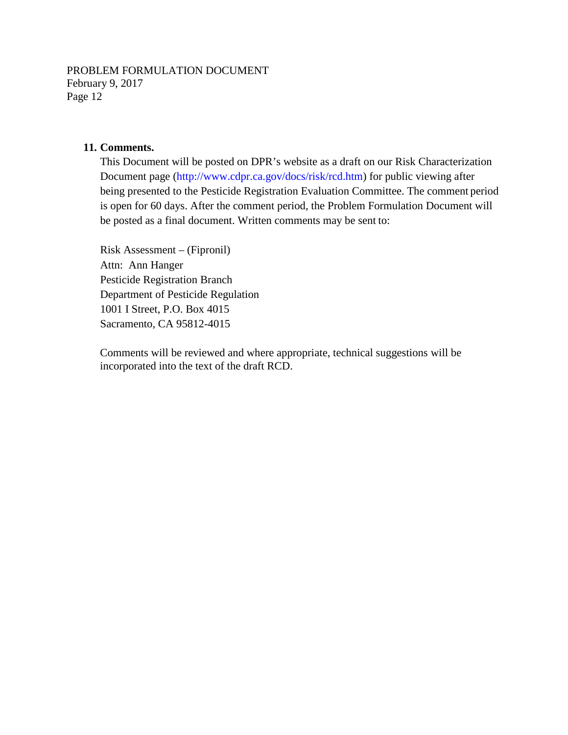#### **11. Comments.**

This Document will be posted on DPR's website as a draft on our Risk Characterization Document page [\(http://www.cdpr.ca.gov/docs/risk/rcd.htm\)](http://www.cdpr.ca.gov/docs/risk/rcd.htm) for public viewing after being presented to the Pesticide Registration Evaluation Committee. The comment period is open for 60 days. After the comment period, the Problem Formulation Document will be posted as a final document. Written comments may be sent to:

Risk Assessment – (Fipronil) Attn: Ann Hanger Pesticide Registration Branch Department of Pesticide Regulation 1001 I Street, P.O. Box 4015 Sacramento, CA 95812-4015

Comments will be reviewed and where appropriate, technical suggestions will be incorporated into the text of the draft RCD.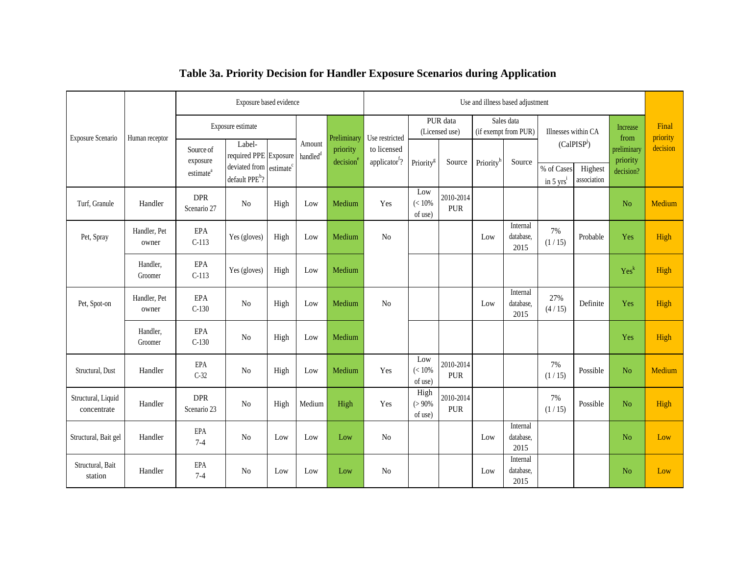|                                   | Human receptor        | Exposure based evidence                        |                                                                                |                       |                                |                                   | Use and illness based adjustment         |                             |                            |                                    |                               |                                             |                                                                |                  |                   |
|-----------------------------------|-----------------------|------------------------------------------------|--------------------------------------------------------------------------------|-----------------------|--------------------------------|-----------------------------------|------------------------------------------|-----------------------------|----------------------------|------------------------------------|-------------------------------|---------------------------------------------|----------------------------------------------------------------|------------------|-------------------|
| Exposure Scenario                 |                       | Exposure estimate                              |                                                                                |                       |                                | Preliminary                       | Use restricted                           |                             | PUR data<br>(Licensed use) | Sales data<br>(if exempt from PUR) |                               | Illnesses within CA                         |                                                                | Increase<br>from | Final<br>priority |
|                                   |                       | Source of<br>exposure<br>estimate <sup>a</sup> | Label-<br>required PPE Exposure<br>deviated from<br>default PPE <sup>b</sup> ? | estimate <sup>c</sup> | Amount<br>handled <sup>d</sup> | priority<br>decision <sup>e</sup> | to licensed<br>applicator <sup>f</sup> ? | Priority <sup>g</sup>       | $\mbox{Source}$            | Priority <sup>h</sup>              | Source                        | $(CaIPISP^j)$<br>% of Cases<br>in 5 $yrs^i$ | preliminary<br>priority<br>Highest<br>decision?<br>association | decision         |                   |
| Turf, Granule                     | Handler               | <b>DPR</b><br>Scenario 27                      | No                                                                             | High                  | Low                            | Medium                            | Yes                                      | Low<br>$(< 10\%$<br>of use) | 2010-2014<br><b>PUR</b>    |                                    |                               |                                             |                                                                | N <sub>o</sub>   | Medium            |
| Pet, Spray                        | Handler, Pet<br>owner | EPA<br>$C-113$                                 | Yes (gloves)                                                                   | High                  | Low                            | Medium                            | N <sub>o</sub>                           |                             |                            | Low                                | Internal<br>database,<br>2015 | 7%<br>(1/15)                                | Probable                                                       | Yes              | High              |
|                                   | Handler.<br>Groomer   | EPA<br>$C-113$                                 | Yes (gloves)                                                                   | High                  | Low                            | Medium                            |                                          |                             |                            |                                    |                               |                                             |                                                                | Yes <sup>k</sup> | High              |
| Pet, Spot-on                      | Handler, Pet<br>owner | EPA<br>$C-130$                                 | No                                                                             | High                  | Low                            | Medium                            | N <sub>o</sub>                           |                             |                            | Low                                | Internal<br>database.<br>2015 | 27%<br>(4/15)                               | Definite                                                       | Yes              | High              |
|                                   | Handler,<br>Groomer   | EPA<br>$C-130$                                 | N <sub>0</sub>                                                                 | High                  | Low                            | Medium                            |                                          |                             |                            |                                    |                               |                                             |                                                                | Yes              | High              |
| Structural, Dust                  | Handler               | EPA<br>$C-32$                                  | N <sub>0</sub>                                                                 | High                  | Low                            | Medium                            | Yes                                      | Low<br>$(< 10\%$<br>of use) | 2010-2014<br><b>PUR</b>    |                                    |                               | 7%<br>(1/15)                                | Possible                                                       | No               | Medium            |
| Structural, Liquid<br>concentrate | Handler               | <b>DPR</b><br>Scenario 23                      | No                                                                             | High                  | Medium                         | High                              | Yes                                      | High<br>$(>90\%$<br>of use) | 2010-2014<br><b>PUR</b>    |                                    |                               | 7%<br>(1/15)                                | Possible                                                       | N <sub>o</sub>   | High              |
| Structural, Bait gel              | Handler               | EPA<br>$7 - 4$                                 | N <sub>o</sub>                                                                 | Low                   | Low                            | Low                               | N <sub>o</sub>                           |                             |                            | Low                                | Internal<br>database,<br>2015 |                                             |                                                                | N <sub>o</sub>   | Low               |
| Structural, Bait<br>station       | Handler               | <b>EPA</b><br>$7 - 4$                          | N <sub>0</sub>                                                                 | Low                   | Low                            | Low                               | N <sub>o</sub>                           |                             |                            | Low                                | Internal<br>database,<br>2015 |                                             |                                                                | N <sub>o</sub>   | Low               |

## **Table 3a. Priority Decision for Handler Exposure Scenarios during Application**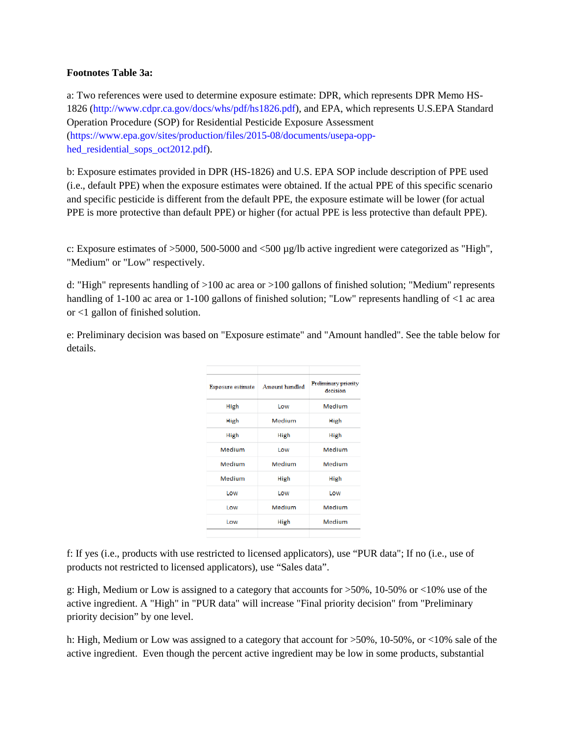#### **Footnotes Table 3a:**

a: Two references were used to determine exposure estimate: DPR, which represents DPR Memo HS-1826 [\(http://www.cdpr.ca.gov/docs/whs/pdf/hs1826.pdf\)](http://www.cdpr.ca.gov/docs/whs/pdf/hs1826.pdf), and EPA, which represents U.S.EPA Standard Operation Procedure (SOP) for Residential Pesticide Exposure Assessment (https://www.epa.gov/sites/production/files/2015-08/documents/usepa-opphed residential sops oct2012.pdf).

b: Exposure estimates provided in DPR (HS-1826) and U.S. EPA SOP include description of PPE used (i.e., default PPE) when the exposure estimates were obtained. If the actual PPE of this specific scenario and specific pesticide is different from the default PPE, the exposure estimate will be lower (for actual PPE is more protective than default PPE) or higher (for actual PPE is less protective than default PPE).

c: Exposure estimates of >5000, 500-5000 and <500 µg/lb active ingredient were categorized as "High", "Medium" or "Low" respectively.

d: "High" represents handling of >100 ac area or >100 gallons of finished solution; "Medium" represents handling of 1-100 ac area or 1-100 gallons of finished solution; "Low" represents handling of <1 ac area or <1 gallon of finished solution.

e: Preliminary decision was based on "Exposure estimate" and "Amount handled". See the table below for details.

| <b>Exposure estimate</b> | <b>Amount handled</b> | <b>Preliminary priority</b><br>decision |  |  |  |  |  |
|--------------------------|-----------------------|-----------------------------------------|--|--|--|--|--|
| High                     | Low                   | Medium                                  |  |  |  |  |  |
| High                     | Medium                | High                                    |  |  |  |  |  |
| High                     | High                  | High                                    |  |  |  |  |  |
| Medium                   | Low                   | Medium                                  |  |  |  |  |  |
| Medium                   | Medium                | Medium                                  |  |  |  |  |  |
| Medium                   | High                  | High                                    |  |  |  |  |  |
| Low                      | Low                   | Low                                     |  |  |  |  |  |
| Low                      | Medium                | Medium                                  |  |  |  |  |  |
| Low                      | High                  | Medium                                  |  |  |  |  |  |
|                          |                       |                                         |  |  |  |  |  |

f: If yes (i.e., products with use restricted to licensed applicators), use "PUR data"; If no (i.e., use of products not restricted to licensed applicators), use "Sales data".

g: High, Medium or Low is assigned to a category that accounts for >50%, 10-50% or <10% use of the active ingredient. A "High" in "PUR data" will increase "Final priority decision" from "Preliminary priority decision" by one level.

h: High, Medium or Low was assigned to a category that account for  $>50\%$ , 10-50%, or <10% sale of the active ingredient. Even though the percent active ingredient may be low in some products, substantial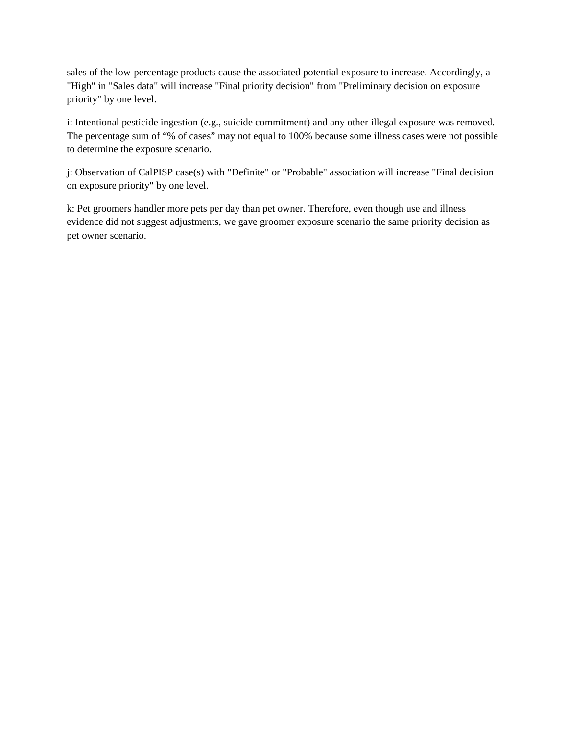sales of the low-percentage products cause the associated potential exposure to increase. Accordingly, a "High" in "Sales data" will increase "Final priority decision" from "Preliminary decision on exposure priority" by one level.

i: Intentional pesticide ingestion (e.g., suicide commitment) and any other illegal exposure was removed. The percentage sum of "% of cases" may not equal to 100% because some illness cases were not possible to determine the exposure scenario.

 j: Observation of CalPISP case(s) with "Definite" or "Probable" association will increase "Final decision on exposure priority" by one level.

 k: Pet groomers handler more pets per day than pet owner. Therefore, even though use and illness evidence did not suggest adjustments, we gave groomer exposure scenario the same priority decision as pet owner scenario.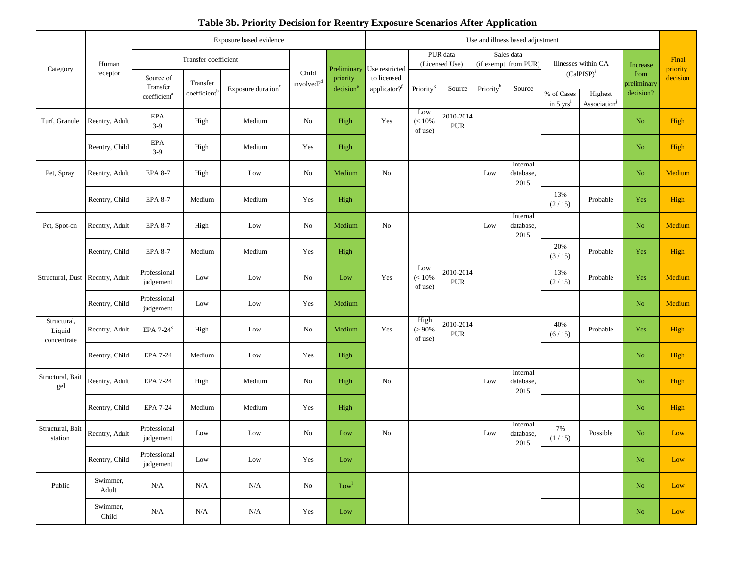|                                      |                   | Exposure based evidence                           |                         |                                |                          | Use and illness based adjustment    |                                                           |                             |                         |                                    |                               |                                    |                                         |                                              |                      |
|--------------------------------------|-------------------|---------------------------------------------------|-------------------------|--------------------------------|--------------------------|-------------------------------------|-----------------------------------------------------------|-----------------------------|-------------------------|------------------------------------|-------------------------------|------------------------------------|-----------------------------------------|----------------------------------------------|----------------------|
|                                      |                   | Transfer coefficient                              |                         |                                |                          |                                     |                                                           | PUR data<br>(Licensed Use)  |                         | Sales data<br>(if exempt from PUR) |                               | Illnesses within CA                |                                         |                                              | Final                |
| Category                             | Human<br>receptor | Source of<br>Transfer<br>coefficient <sup>a</sup> | Transfer<br>coefficient | Exposure duration <sup>c</sup> | Child<br>involved? $d^d$ | Preliminary<br>priority<br>decision | Use restricted<br>to licensed<br>applicator? <sup>f</sup> | Priority <sup>g</sup>       | Source                  | Priorityh                          | Source                        | % of Cases<br>in $5 \text{ yrs}^i$ | $(CaIPISP)^J$<br>Highest<br>Association | Increase<br>from<br>preliminary<br>decision? | priority<br>decision |
| Turf, Granule                        | Reentry, Adult    | EPA<br>$3-9$                                      | High                    | Medium                         | No                       | High                                | Yes                                                       | Low<br>$(< 10\%$<br>of use) | 2010-2014<br><b>PUR</b> |                                    |                               |                                    |                                         | $\rm No$                                     | High                 |
|                                      | Reentry, Child    | <b>EPA</b><br>$3-9$                               | High                    | Medium                         | Yes                      | High                                |                                                           |                             |                         |                                    |                               |                                    |                                         | No                                           | High                 |
| Pet, Spray                           | Reentry, Adult    | <b>EPA 8-7</b>                                    | High                    | Low                            | No                       | Medium                              | No                                                        |                             |                         | Low                                | Internal<br>database,<br>2015 |                                    |                                         | $\rm No$                                     | Medium               |
|                                      | Reentry, Child    | <b>EPA 8-7</b>                                    | Medium                  | Medium                         | Yes                      | High                                |                                                           |                             |                         |                                    |                               | 13%<br>(2/15)                      | Probable                                | Yes                                          | High                 |
| Pet, Spot-on                         | Reentry, Adult    | EPA 8-7                                           | High                    | Low                            | No                       | Medium                              | No                                                        |                             |                         | Low                                | Internal<br>database,<br>2015 |                                    |                                         | No.                                          | Medium               |
|                                      | Reentry, Child    | EPA 8-7                                           | Medium                  | Medium                         | Yes                      | High                                |                                                           |                             |                         |                                    |                               | 20%<br>(3/15)                      | Probable                                | Yes                                          | High                 |
| Structural, Dust                     | Reentry, Adult    | Professional<br>judgement                         | Low                     | Low                            | No                       | Low                                 | Yes                                                       | Low<br>$(< 10\%$<br>of use) | 2010-2014<br>PUR        |                                    |                               | 13%<br>(2/15)                      | Probable                                | Yes                                          | Medium               |
|                                      | Reentry, Child    | Professional<br>judgement                         | Low                     | Low                            | Yes                      | Medium                              |                                                           |                             |                         |                                    |                               |                                    |                                         | No.                                          | Medium               |
| Structural,<br>Liquid<br>concentrate | Reentry, Adult    | EPA $7-24$ <sup>k</sup>                           | High                    | Low                            | No                       | Medium                              | Yes                                                       | High<br>$(>90\%$<br>of use) | 2010-2014<br><b>PUR</b> |                                    |                               | 40%<br>(6/15)                      | Probable                                | Yes                                          | High                 |
|                                      | Reentry, Child    | <b>EPA 7-24</b>                                   | Medium                  | Low                            | Yes                      | High                                |                                                           |                             |                         |                                    |                               |                                    |                                         | No                                           | High                 |
| Structural, Bait<br>gel              | Reentry, Adult    | EPA 7-24                                          | High                    | Medium                         | No                       | High                                | No                                                        |                             |                         | Low                                | Internal<br>database,<br>2015 |                                    |                                         | $\rm No$                                     | High                 |
|                                      | Reentry, Child    | <b>EPA 7-24</b>                                   | Medium                  | Medium                         | Yes                      | High                                |                                                           |                             |                         |                                    |                               |                                    |                                         | No.                                          | High                 |
| Structural, Bait<br>station          | Reentry, Adult    | Professional<br>judgement                         | Low                     | Low                            | No                       | Low                                 | No                                                        |                             |                         | Low                                | Internal<br>database,<br>2015 | 7%<br>(1/15)                       | Possible                                | No                                           | Low                  |
|                                      | Reentry, Child    | Professional<br>judgement                         | Low                     | Low                            | Yes                      | Low                                 |                                                           |                             |                         |                                    |                               |                                    |                                         | No                                           | Low                  |
| Public                               | Swimmer,<br>Adult | N/A                                               | N/A                     | N/A                            | No                       | Low <sup>1</sup>                    |                                                           |                             |                         |                                    |                               |                                    |                                         | N <sub>o</sub>                               | Low                  |
|                                      | Swimmer,<br>Child | $\rm N/A$                                         | N/A                     | N/A                            | Yes                      | Low                                 |                                                           |                             |                         |                                    |                               |                                    |                                         | $\rm No$                                     | Low                  |

## **Table 3b. Priority Decision for Reentry Exposure Scenarios After Application**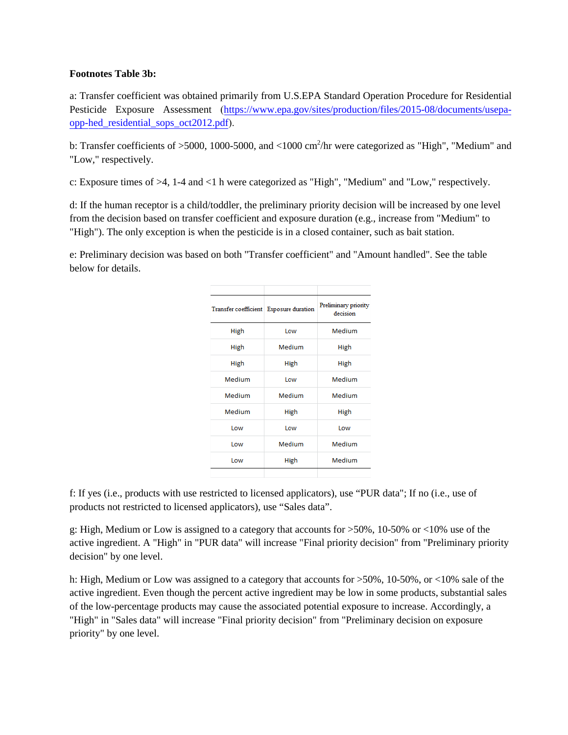#### **Footnotes Table 3b:**

a: Transfer coefficient was obtained primarily from U.S.EPA Standard Operation Procedure for Residential Pesticide Exposure Assessment ([https://www.epa.gov/sites/production/files/2015-08/documents/usepa](https://www.epa.gov/sites/production/files/2015-08/documents/usepa-opphed_residential_sops_oct2012.pdf)opphed\_residential\_sops\_oct2012.pdf).

b: Transfer coefficients of >5000, 1000-5000, and <1000 cm<sup>2</sup>/hr were categorized as "High", "Medium" and "Low," respectively.

c: Exposure times of >4, 1-4 and <1 h were categorized as "High", "Medium" and "Low," respectively.

d: If the human receptor is a child/toddler, the preliminary priority decision will be increased by one level from the decision based on transfer coefficient and exposure duration (e.g., increase from "Medium" to "High"). The only exception is when the pesticide is in a closed container, such as bait station.

e: Preliminary decision was based on both "Transfer coefficient" and "Amount handled". See the table below for details.

| Transfer coefficient Exposure duration |            | Preliminary priority<br>decision |  |  |  |  |
|----------------------------------------|------------|----------------------------------|--|--|--|--|
| High                                   | Low        | Medium                           |  |  |  |  |
| High                                   | Medium     | High                             |  |  |  |  |
| High                                   | High       | High                             |  |  |  |  |
| <b>Medium</b>                          | <b>Low</b> | Medium                           |  |  |  |  |
| Medium                                 | Medium     | Medium                           |  |  |  |  |
| Medium                                 | High       | High                             |  |  |  |  |
| l ow                                   | <b>Low</b> | <b>Low</b>                       |  |  |  |  |
| <b>Low</b>                             | Medium     | Medium                           |  |  |  |  |
| Low                                    | High       | Medium                           |  |  |  |  |
|                                        |            |                                  |  |  |  |  |

 products not restricted to licensed applicators), use "Sales data". f: If yes (i.e., products with use restricted to licensed applicators), use "PUR data"; If no (i.e., use of

 g: High, Medium or Low is assigned to a category that accounts for >50%, 10-50% or <10% use of the active ingredient. A "High" in "PUR data" will increase "Final priority decision" from "Preliminary priority decision" by one level.

 h: High, Medium or Low was assigned to a category that accounts for >50%, 10-50%, or <10% sale of the active ingredient. Even though the percent active ingredient may be low in some products, substantial sales of the low-percentage products may cause the associated potential exposure to increase. Accordingly, a "High" in "Sales data" will increase "Final priority decision" from "Preliminary decision on exposure priority" by one level.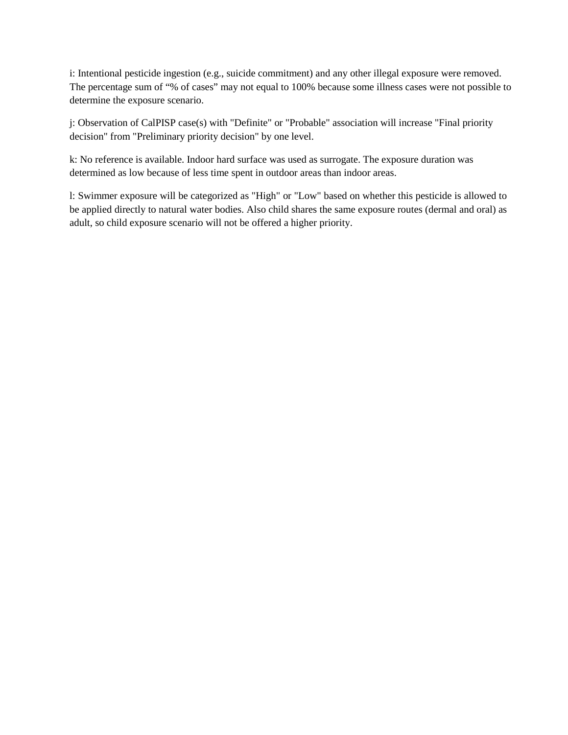i: Intentional pesticide ingestion (e.g., suicide commitment) and any other illegal exposure were removed. The percentage sum of "% of cases" may not equal to 100% because some illness cases were not possible to determine the exposure scenario.

j: Observation of CalPISP case(s) with "Definite" or "Probable" association will increase "Final priority decision" from "Preliminary priority decision" by one level.

k: No reference is available. Indoor hard surface was used as surrogate. The exposure duration was determined as low because of less time spent in outdoor areas than indoor areas.

 l: Swimmer exposure will be categorized as "High" or "Low" based on whether this pesticide is allowed to be applied directly to natural water bodies. Also child shares the same exposure routes (dermal and oral) as adult, so child exposure scenario will not be offered a higher priority.